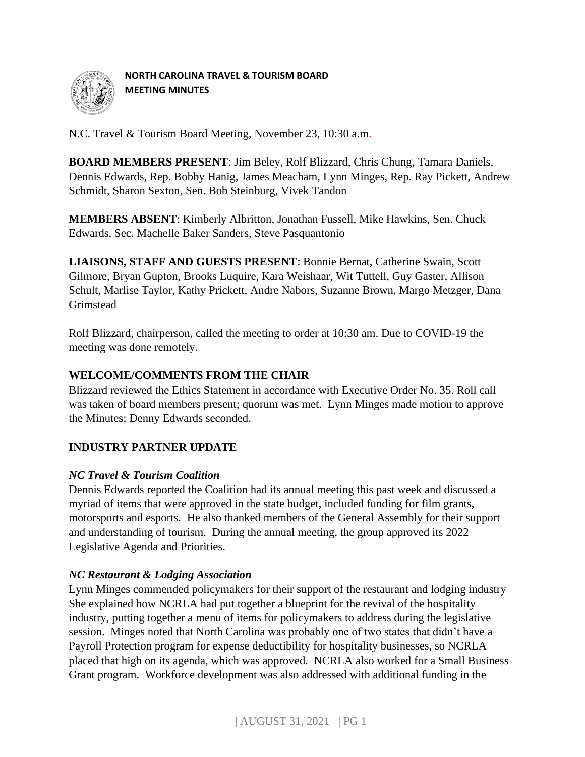

**NORTH CAROLINA TRAVEL & TOURISM BOARD MEETING MINUTES** 

N.C. Travel & Tourism Board Meeting, November 23, 10:30 a.m.

**BOARD MEMBERS PRESENT**: Jim Beley, Rolf Blizzard, Chris Chung, Tamara Daniels, Dennis Edwards, Rep. Bobby Hanig, James Meacham, Lynn Minges, Rep. Ray Pickett, Andrew Schmidt, Sharon Sexton, Sen. Bob Steinburg, Vivek Tandon

**MEMBERS ABSENT**: Kimberly Albritton, Jonathan Fussell, Mike Hawkins, Sen. Chuck Edwards, Sec. Machelle Baker Sanders, Steve Pasquantonio

**LIAISONS, STAFF AND GUESTS PRESENT**: Bonnie Bernat, Catherine Swain, Scott Gilmore, Bryan Gupton, Brooks Luquire, Kara Weishaar, Wit Tuttell, Guy Gaster, Allison Schult, Marlise Taylor, Kathy Prickett, Andre Nabors, Suzanne Brown, Margo Metzger, Dana Grimstead

Rolf Blizzard, chairperson, called the meeting to order at 10:30 am. Due to COVID-19 the meeting was done remotely.

# **WELCOME/COMMENTS FROM THE CHAIR**

Blizzard reviewed the Ethics Statement in accordance with Executive Order No. 35. Roll call was taken of board members present; quorum was met. Lynn Minges made motion to approve the Minutes; Denny Edwards seconded.

# **INDUSTRY PARTNER UPDATE**

## *NC Travel & Tourism Coalition*

Dennis Edwards reported the Coalition had its annual meeting this past week and discussed a myriad of items that were approved in the state budget, included funding for film grants, motorsports and esports. He also thanked members of the General Assembly for their support and understanding of tourism. During the annual meeting, the group approved its 2022 Legislative Agenda and Priorities.

## *NC Restaurant & Lodging Association*

Lynn Minges commended policymakers for their support of the restaurant and lodging industry She explained how NCRLA had put together a blueprint for the revival of the hospitality industry, putting together a menu of items for policymakers to address during the legislative session. Minges noted that North Carolina was probably one of two states that didn't have a Payroll Protection program for expense deductibility for hospitality businesses, so NCRLA placed that high on its agenda, which was approved. NCRLA also worked for a Small Business Grant program. Workforce development was also addressed with additional funding in the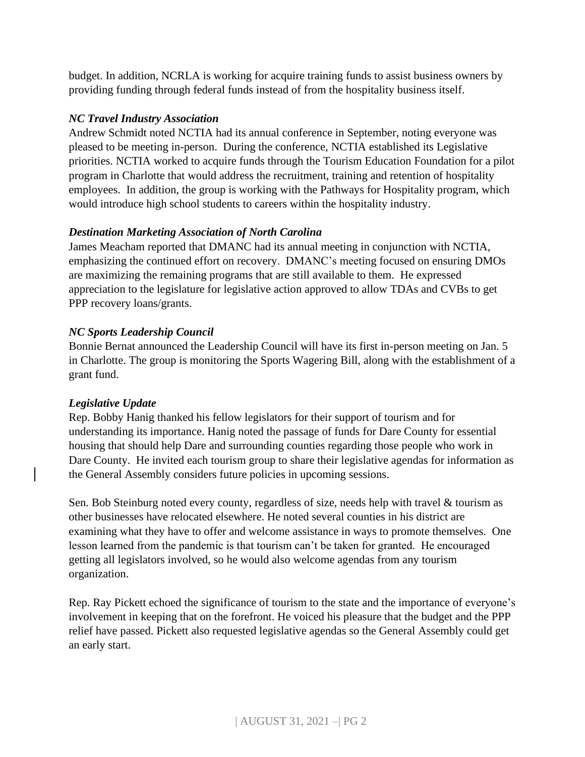budget. In addition, NCRLA is working for acquire training funds to assist business owners by providing funding through federal funds instead of from the hospitality business itself.

## *NC Travel Industry Association*

Andrew Schmidt noted NCTIA had its annual conference in September, noting everyone was pleased to be meeting in-person. During the conference, NCTIA established its Legislative priorities. NCTIA worked to acquire funds through the Tourism Education Foundation for a pilot program in Charlotte that would address the recruitment, training and retention of hospitality employees. In addition, the group is working with the Pathways for Hospitality program, which would introduce high school students to careers within the hospitality industry.

## *Destination Marketing Association of North Carolina*

James Meacham reported that DMANC had its annual meeting in conjunction with NCTIA, emphasizing the continued effort on recovery. DMANC's meeting focused on ensuring DMOs are maximizing the remaining programs that are still available to them. He expressed appreciation to the legislature for legislative action approved to allow TDAs and CVBs to get PPP recovery loans/grants.

## *NC Sports Leadership Council*

Bonnie Bernat announced the Leadership Council will have its first in-person meeting on Jan. 5 in Charlotte. The group is monitoring the Sports Wagering Bill, along with the establishment of a grant fund.

## *Legislative Update*

Rep. Bobby Hanig thanked his fellow legislators for their support of tourism and for understanding its importance. Hanig noted the passage of funds for Dare County for essential housing that should help Dare and surrounding counties regarding those people who work in Dare County. He invited each tourism group to share their legislative agendas for information as the General Assembly considers future policies in upcoming sessions.

Sen. Bob Steinburg noted every county, regardless of size, needs help with travel & tourism as other businesses have relocated elsewhere. He noted several counties in his district are examining what they have to offer and welcome assistance in ways to promote themselves. One lesson learned from the pandemic is that tourism can't be taken for granted. He encouraged getting all legislators involved, so he would also welcome agendas from any tourism organization.

Rep. Ray Pickett echoed the significance of tourism to the state and the importance of everyone's involvement in keeping that on the forefront. He voiced his pleasure that the budget and the PPP relief have passed. Pickett also requested legislative agendas so the General Assembly could get an early start.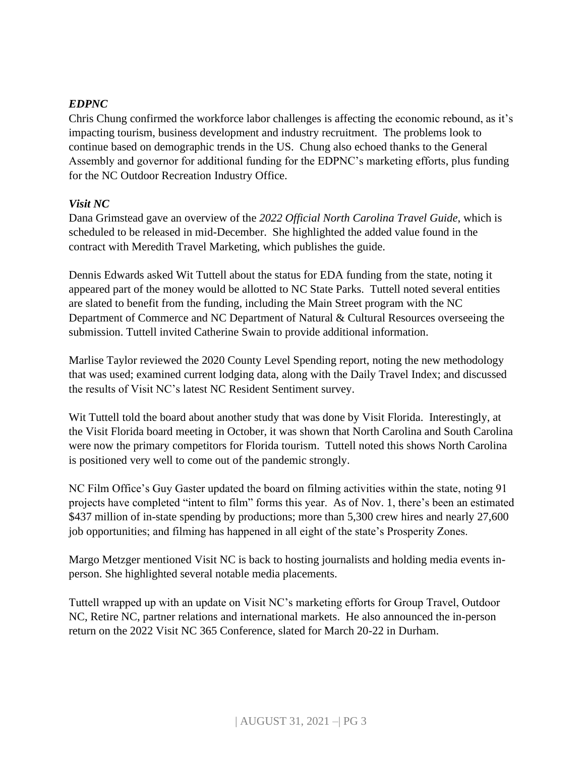#### *EDPNC*

Chris Chung confirmed the workforce labor challenges is affecting the economic rebound, as it's impacting tourism, business development and industry recruitment. The problems look to continue based on demographic trends in the US. Chung also echoed thanks to the General Assembly and governor for additional funding for the EDPNC's marketing efforts, plus funding for the NC Outdoor Recreation Industry Office.

#### *Visit NC*

Dana Grimstead gave an overview of the *2022 Official North Carolina Travel Guide*, which is scheduled to be released in mid-December. She highlighted the added value found in the contract with Meredith Travel Marketing, which publishes the guide.

Dennis Edwards asked Wit Tuttell about the status for EDA funding from the state, noting it appeared part of the money would be allotted to NC State Parks. Tuttell noted several entities are slated to benefit from the funding, including the Main Street program with the NC Department of Commerce and NC Department of Natural & Cultural Resources overseeing the submission. Tuttell invited Catherine Swain to provide additional information.

Marlise Taylor reviewed the 2020 County Level Spending report, noting the new methodology that was used; examined current lodging data, along with the Daily Travel Index; and discussed the results of Visit NC's latest NC Resident Sentiment survey.

Wit Tuttell told the board about another study that was done by Visit Florida. Interestingly, at the Visit Florida board meeting in October, it was shown that North Carolina and South Carolina were now the primary competitors for Florida tourism. Tuttell noted this shows North Carolina is positioned very well to come out of the pandemic strongly.

NC Film Office's Guy Gaster updated the board on filming activities within the state, noting 91 projects have completed "intent to film" forms this year. As of Nov. 1, there's been an estimated \$437 million of in-state spending by productions; more than 5,300 crew hires and nearly 27,600 job opportunities; and filming has happened in all eight of the state's Prosperity Zones.

Margo Metzger mentioned Visit NC is back to hosting journalists and holding media events inperson. She highlighted several notable media placements.

Tuttell wrapped up with an update on Visit NC's marketing efforts for Group Travel, Outdoor NC, Retire NC, partner relations and international markets. He also announced the in-person return on the 2022 Visit NC 365 Conference, slated for March 20-22 in Durham.